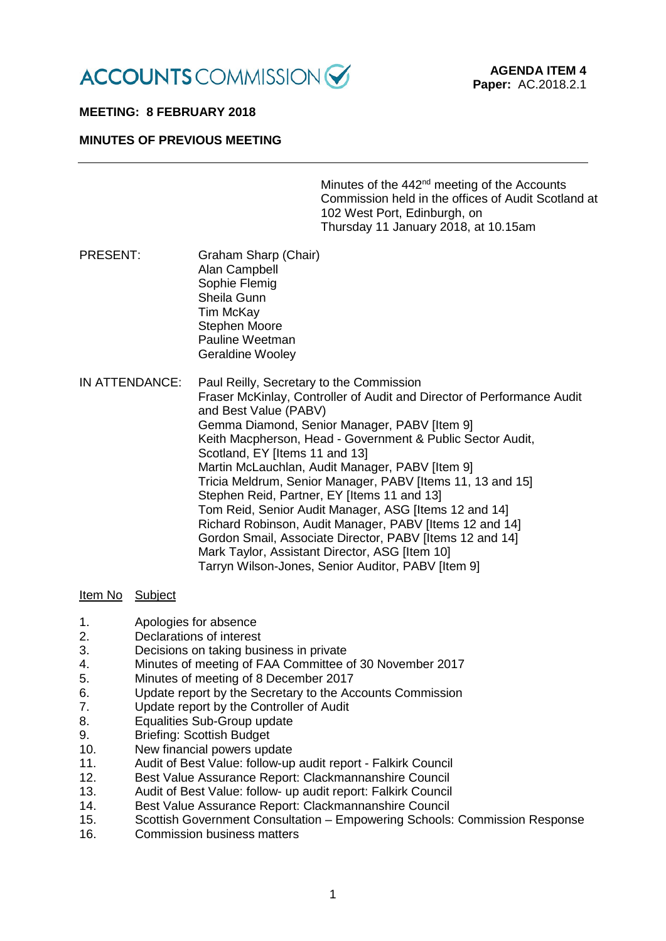

# **MEETING: 8 FEBRUARY 2018**

# **MINUTES OF PREVIOUS MEETING**

Minutes of the 442<sup>nd</sup> meeting of the Accounts Commission held in the offices of Audit Scotland at 102 West Port, Edinburgh, on Thursday 11 January 2018, at 10.15am

- PRESENT: Graham Sharp (Chair) Alan Campbell Sophie Flemig Sheila Gunn Tim McKay Stephen Moore Pauline Weetman Geraldine Wooley
- IN ATTENDANCE: Paul Reilly, Secretary to the Commission Fraser McKinlay, Controller of Audit and Director of Performance Audit and Best Value (PABV) Gemma Diamond, Senior Manager, PABV [Item 9] Keith Macpherson, Head - Government & Public Sector Audit, Scotland, EY [Items 11 and 13] Martin McLauchlan, Audit Manager, PABV [Item 9] Tricia Meldrum, Senior Manager, PABV [Items 11, 13 and 15] Stephen Reid, Partner, EY [Items 11 and 13] Tom Reid, Senior Audit Manager, ASG [Items 12 and 14] Richard Robinson, Audit Manager, PABV [Items 12 and 14] Gordon Smail, Associate Director, PABV [Items 12 and 14] Mark Taylor, Assistant Director, ASG [Item 10] Tarryn Wilson-Jones, Senior Auditor, PABV [Item 9]

### Item No Subject

- 1. Apologies for absence
- 2. Declarations of interest
- 3. Decisions on taking business in private
- 4. Minutes of meeting of FAA Committee of 30 November 2017
- 5. Minutes of meeting of 8 December 2017
- 6. Update report by the Secretary to the Accounts Commission
- 7. Update report by the Controller of Audit
- 8. Equalities Sub-Group update
- 9. Briefing: Scottish Budget
- 10. New financial powers update
- 11. Audit of Best Value: follow-up audit report Falkirk Council
- 12. Best Value Assurance Report: Clackmannanshire Council
- 13. Audit of Best Value: follow- up audit report: Falkirk Council
- 14. Best Value Assurance Report: Clackmannanshire Council
- 15. Scottish Government Consultation Empowering Schools: Commission Response
- 16. Commission business matters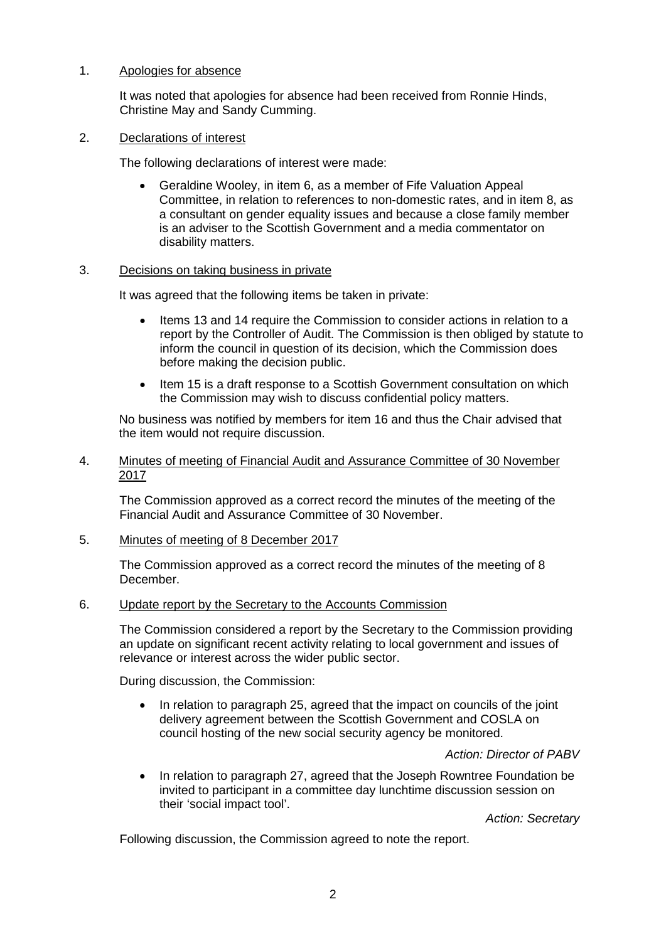# 1. Apologies for absence

It was noted that apologies for absence had been received from Ronnie Hinds, Christine May and Sandy Cumming.

#### 2. Declarations of interest

The following declarations of interest were made:

• Geraldine Wooley, in item 6, as a member of Fife Valuation Appeal Committee, in relation to references to non-domestic rates, and in item 8, as a consultant on gender equality issues and because a close family member is an adviser to the Scottish Government and a media commentator on disability matters.

### 3. Decisions on taking business in private

It was agreed that the following items be taken in private:

- Items 13 and 14 require the Commission to consider actions in relation to a report by the Controller of Audit. The Commission is then obliged by statute to inform the council in question of its decision, which the Commission does before making the decision public.
- Item 15 is a draft response to a Scottish Government consultation on which the Commission may wish to discuss confidential policy matters.

No business was notified by members for item 16 and thus the Chair advised that the item would not require discussion.

### 4. Minutes of meeting of Financial Audit and Assurance Committee of 30 November 2017

The Commission approved as a correct record the minutes of the meeting of the Financial Audit and Assurance Committee of 30 November.

### 5. Minutes of meeting of 8 December 2017

The Commission approved as a correct record the minutes of the meeting of 8 December.

### 6. Update report by the Secretary to the Accounts Commission

The Commission considered a report by the Secretary to the Commission providing an update on significant recent activity relating to local government and issues of relevance or interest across the wider public sector.

During discussion, the Commission:

• In relation to paragraph 25, agreed that the impact on councils of the joint delivery agreement between the Scottish Government and COSLA on council hosting of the new social security agency be monitored.

## *Action: Director of PABV*

• In relation to paragraph 27, agreed that the Joseph Rowntree Foundation be invited to participant in a committee day lunchtime discussion session on their 'social impact tool'.

*Action: Secretary*

Following discussion, the Commission agreed to note the report.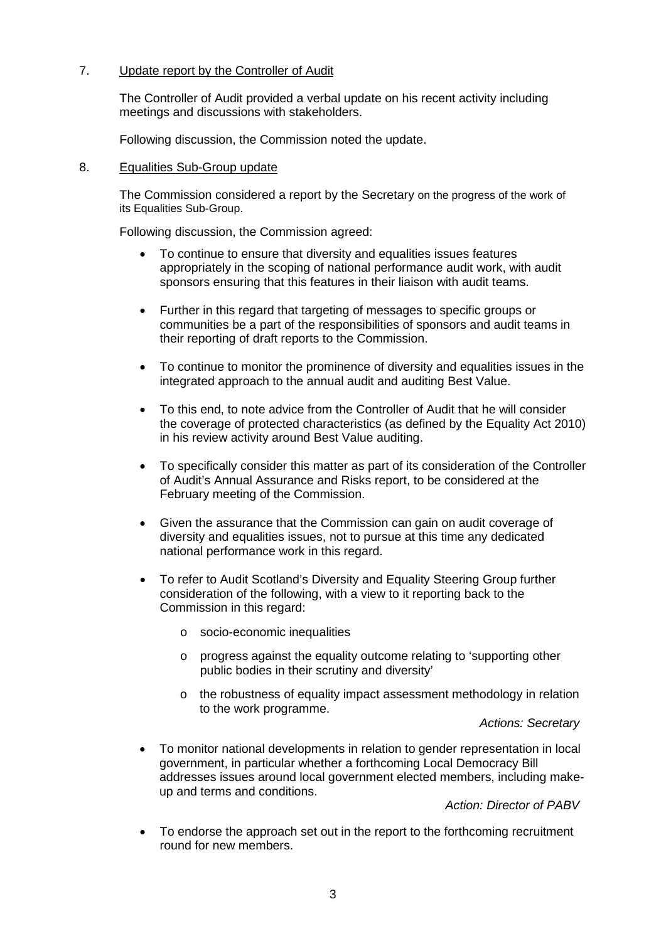# 7. Update report by the Controller of Audit

The Controller of Audit provided a verbal update on his recent activity including meetings and discussions with stakeholders.

Following discussion, the Commission noted the update.

### 8. Equalities Sub-Group update

The Commission considered a report by the Secretary on the progress of the work of its Equalities Sub-Group.

Following discussion, the Commission agreed:

- To continue to ensure that diversity and equalities issues features appropriately in the scoping of national performance audit work, with audit sponsors ensuring that this features in their liaison with audit teams.
- Further in this regard that targeting of messages to specific groups or communities be a part of the responsibilities of sponsors and audit teams in their reporting of draft reports to the Commission.
- To continue to monitor the prominence of diversity and equalities issues in the integrated approach to the annual audit and auditing Best Value.
- To this end, to note advice from the Controller of Audit that he will consider the coverage of protected characteristics (as defined by the Equality Act 2010) in his review activity around Best Value auditing.
- To specifically consider this matter as part of its consideration of the Controller of Audit's Annual Assurance and Risks report, to be considered at the February meeting of the Commission.
- Given the assurance that the Commission can gain on audit coverage of diversity and equalities issues, not to pursue at this time any dedicated national performance work in this regard.
- To refer to Audit Scotland's Diversity and Equality Steering Group further consideration of the following, with a view to it reporting back to the Commission in this regard:
	- o socio-economic inequalities
	- o progress against the equality outcome relating to 'supporting other public bodies in their scrutiny and diversity'
	- o the robustness of equality impact assessment methodology in relation to the work programme.

*Actions: Secretary*

• To monitor national developments in relation to gender representation in local government, in particular whether a forthcoming Local Democracy Bill addresses issues around local government elected members, including makeup and terms and conditions.

*Action: Director of PABV*

• To endorse the approach set out in the report to the forthcoming recruitment round for new members.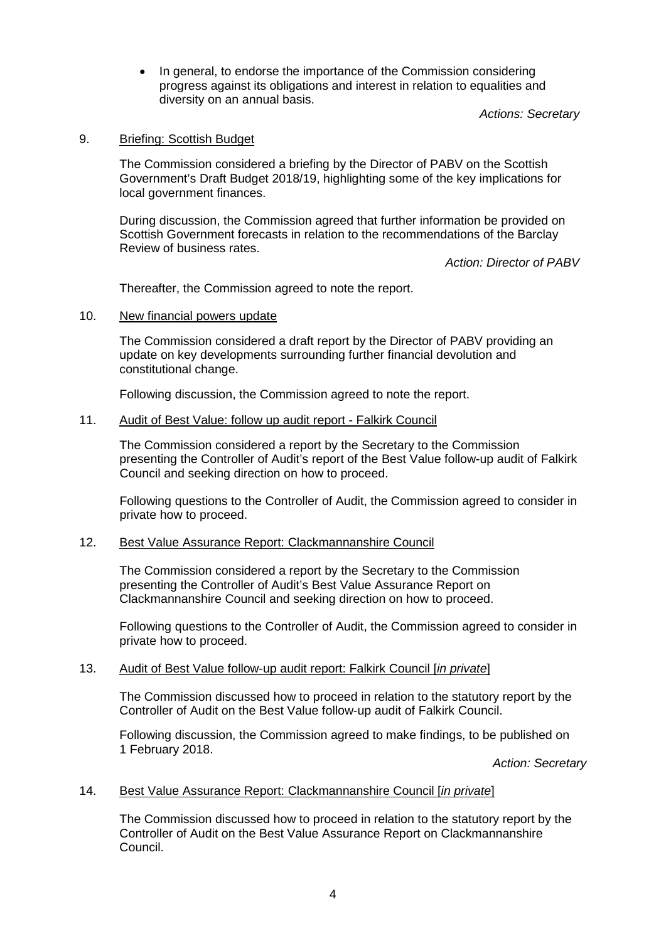• In general, to endorse the importance of the Commission considering progress against its obligations and interest in relation to equalities and diversity on an annual basis.

*Actions: Secretary*

### 9. Briefing: Scottish Budget

The Commission considered a briefing by the Director of PABV on the Scottish Government's Draft Budget 2018/19, highlighting some of the key implications for local government finances.

During discussion, the Commission agreed that further information be provided on Scottish Government forecasts in relation to the recommendations of the Barclay Review of business rates.

*Action: Director of PABV*

Thereafter, the Commission agreed to note the report.

### 10. New financial powers update

The Commission considered a draft report by the Director of PABV providing an update on key developments surrounding further financial devolution and constitutional change.

Following discussion, the Commission agreed to note the report.

## 11. Audit of Best Value: follow up audit report - Falkirk Council

The Commission considered a report by the Secretary to the Commission presenting the Controller of Audit's report of the Best Value follow-up audit of Falkirk Council and seeking direction on how to proceed.

Following questions to the Controller of Audit, the Commission agreed to consider in private how to proceed.

### 12. Best Value Assurance Report: Clackmannanshire Council

The Commission considered a report by the Secretary to the Commission presenting the Controller of Audit's Best Value Assurance Report on Clackmannanshire Council and seeking direction on how to proceed.

Following questions to the Controller of Audit, the Commission agreed to consider in private how to proceed.

### 13. Audit of Best Value follow-up audit report: Falkirk Council [*in private*]

The Commission discussed how to proceed in relation to the statutory report by the Controller of Audit on the Best Value follow-up audit of Falkirk Council.

Following discussion, the Commission agreed to make findings, to be published on 1 February 2018.

*Action: Secretary*

### 14. Best Value Assurance Report: Clackmannanshire Council [*in private*]

The Commission discussed how to proceed in relation to the statutory report by the Controller of Audit on the Best Value Assurance Report on Clackmannanshire Council.